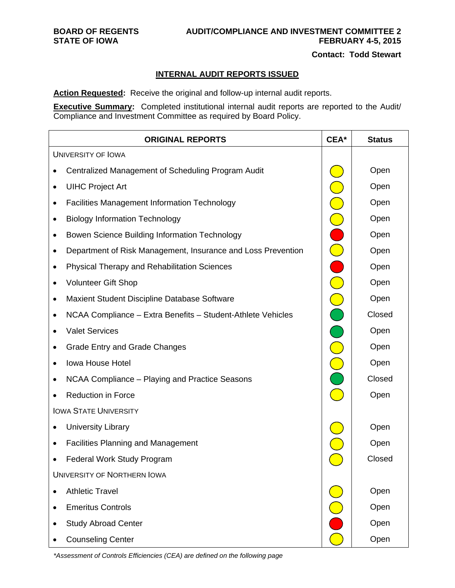# **BOARD OF REGENTS AUDIT/COMPLIANCE AND INVESTMENT COMMITTEE 2 STATE OF IOWA FEBRUARY 4-5, 2015**

 **Contact: Todd Stewart** 

#### **INTERNAL AUDIT REPORTS ISSUED**

**Action Requested:** Receive the original and follow-up internal audit reports.

**Executive Summary:** Completed institutional internal audit reports are reported to the Audit/ Compliance and Investment Committee as required by Board Policy.

| <b>ORIGINAL REPORTS</b>                                                  | CEA*                    | <b>Status</b> |
|--------------------------------------------------------------------------|-------------------------|---------------|
| <b>UNIVERSITY OF IOWA</b>                                                |                         |               |
| Centralized Management of Scheduling Program Audit                       |                         | Open          |
| <b>UIHC Project Art</b><br>$\bullet$                                     |                         | Open          |
| <b>Facilities Management Information Technology</b><br>٠                 |                         | Open          |
| <b>Biology Information Technology</b><br>$\bullet$                       | $\bigcirc$              | Open          |
| Bowen Science Building Information Technology<br>$\bullet$               |                         | Open          |
| Department of Risk Management, Insurance and Loss Prevention<br>٠        | $\bar{\bigcirc}$        | Open          |
| <b>Physical Therapy and Rehabilitation Sciences</b><br>$\bullet$         | ∩                       | Open          |
| <b>Volunteer Gift Shop</b><br>$\bullet$                                  | $\bigcirc$              | Open          |
| Maxient Student Discipline Database Software<br>$\bullet$                | $\overline{\mathbf{C}}$ | Open          |
| NCAA Compliance - Extra Benefits - Student-Athlete Vehicles<br>$\bullet$ | $\bigcap$               | Closed        |
| <b>Valet Services</b><br>$\bullet$                                       |                         | Open          |
| <b>Grade Entry and Grade Changes</b><br>٠                                |                         | Open          |
| Iowa House Hotel<br>$\bullet$                                            |                         | Open          |
| NCAA Compliance - Playing and Practice Seasons<br>٠                      |                         | Closed        |
| <b>Reduction in Force</b>                                                |                         | Open          |
| <b>IOWA STATE UNIVERSITY</b>                                             |                         |               |
| <b>University Library</b><br>$\bullet$                                   |                         | Open          |
| <b>Facilities Planning and Management</b><br>$\bullet$                   |                         | Open          |
| <b>Federal Work Study Program</b>                                        |                         | Closed        |
| UNIVERSITY OF NORTHERN IOWA                                              |                         |               |
| <b>Athletic Travel</b>                                                   |                         | Open          |
| <b>Emeritus Controls</b><br>$\bullet$                                    |                         | Open          |
| <b>Study Abroad Center</b>                                               |                         | Open          |
| <b>Counseling Center</b>                                                 |                         | Open          |

*\*Assessment of Controls Efficiencies (CEA) are defined on the following page*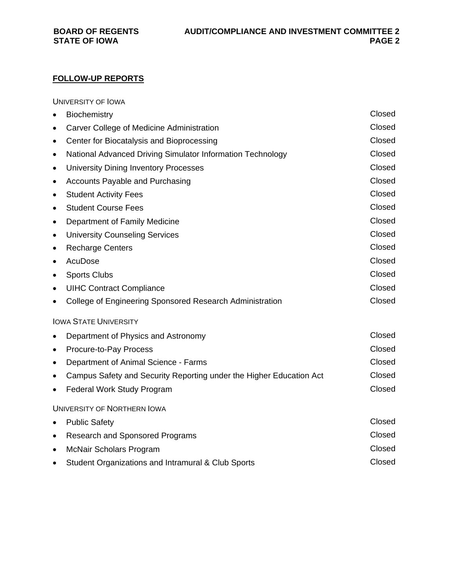# **FOLLOW-UP REPORTS**

UNIVERSITY OF IOWA

| $\bullet$ | Biochemistry                                                        | Closed |
|-----------|---------------------------------------------------------------------|--------|
| $\bullet$ | Carver College of Medicine Administration                           | Closed |
| ٠         | Center for Biocatalysis and Bioprocessing                           | Closed |
| ٠         | National Advanced Driving Simulator Information Technology          | Closed |
| $\bullet$ | <b>University Dining Inventory Processes</b>                        | Closed |
| ٠         | <b>Accounts Payable and Purchasing</b>                              | Closed |
| ٠         | <b>Student Activity Fees</b>                                        | Closed |
| ٠         | <b>Student Course Fees</b>                                          | Closed |
| ٠         | Department of Family Medicine                                       | Closed |
| $\bullet$ | <b>University Counseling Services</b>                               | Closed |
| ٠         | <b>Recharge Centers</b>                                             | Closed |
| $\bullet$ | AcuDose                                                             | Closed |
| $\bullet$ | <b>Sports Clubs</b>                                                 | Closed |
| $\bullet$ | <b>UIHC Contract Compliance</b>                                     | Closed |
| $\bullet$ | College of Engineering Sponsored Research Administration            | Closed |
|           | <b>IOWA STATE UNIVERSITY</b>                                        |        |
| $\bullet$ | Department of Physics and Astronomy                                 | Closed |
| ٠         | Procure-to-Pay Process                                              | Closed |
| ٠         | Department of Animal Science - Farms                                | Closed |
| ٠         | Campus Safety and Security Reporting under the Higher Education Act | Closed |
| $\bullet$ | <b>Federal Work Study Program</b>                                   | Closed |
|           | <b>UNIVERSITY OF NORTHERN IOWA</b>                                  |        |
| $\bullet$ | <b>Public Safety</b>                                                | Closed |
| ٠         | <b>Research and Sponsored Programs</b>                              | Closed |
| $\bullet$ | <b>McNair Scholars Program</b>                                      | Closed |
|           | Student Organizations and Intramural & Club Sports                  | Closed |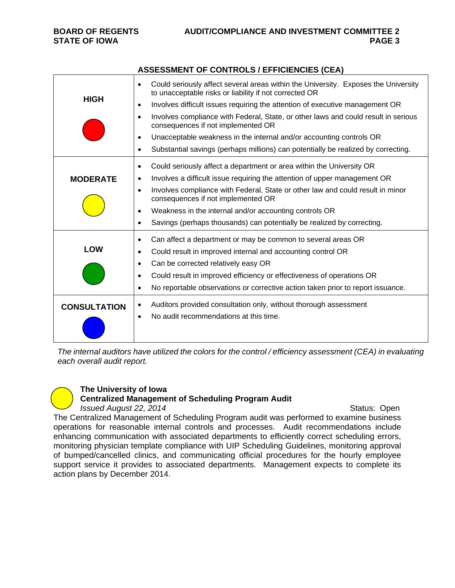|                     | AUULUUMLINT UT CUNTINULU / LITTUILINULU (ULA)                                                                                                             |  |  |
|---------------------|-----------------------------------------------------------------------------------------------------------------------------------------------------------|--|--|
|                     | Could seriously affect several areas within the University. Exposes the University<br>$\bullet$<br>to unacceptable risks or liability if not corrected OR |  |  |
| <b>HIGH</b>         | Involves difficult issues requiring the attention of executive management OR<br>$\bullet$                                                                 |  |  |
|                     | Involves compliance with Federal, State, or other laws and could result in serious<br>$\bullet$<br>consequences if not implemented OR                     |  |  |
|                     | Unacceptable weakness in the internal and/or accounting controls OR<br>$\bullet$                                                                          |  |  |
|                     | Substantial savings (perhaps millions) can potentially be realized by correcting.<br>$\bullet$                                                            |  |  |
|                     | Could seriously affect a department or area within the University OR<br>$\bullet$                                                                         |  |  |
| <b>MODERATE</b>     | Involves a difficult issue requiring the attention of upper management OR<br>$\bullet$                                                                    |  |  |
|                     | Involves compliance with Federal, State or other law and could result in minor<br>$\bullet$<br>consequences if not implemented OR                         |  |  |
|                     | Weakness in the internal and/or accounting controls OR<br>$\bullet$                                                                                       |  |  |
|                     | Savings (perhaps thousands) can potentially be realized by correcting.<br>$\bullet$                                                                       |  |  |
|                     | Can affect a department or may be common to several areas OR<br>$\bullet$                                                                                 |  |  |
| <b>LOW</b>          | Could result in improved internal and accounting control OR<br>$\bullet$                                                                                  |  |  |
|                     | Can be corrected relatively easy OR<br>$\bullet$                                                                                                          |  |  |
|                     | Could result in improved efficiency or effectiveness of operations OR<br>$\bullet$                                                                        |  |  |
|                     | No reportable observations or corrective action taken prior to report issuance.<br>$\bullet$                                                              |  |  |
| <b>CONSULTATION</b> | Auditors provided consultation only, without thorough assessment<br>$\bullet$                                                                             |  |  |
|                     | No audit recommendations at this time.<br>$\bullet$                                                                                                       |  |  |
|                     |                                                                                                                                                           |  |  |

**ASSESSMENT OF CONTROLS / EFFICIENCIES (CEA)** 

*The internal auditors have utilized the colors for the control / efficiency assessment (CEA) in evaluating each overall audit report.* 

#### **The University of Iowa Centralized Management of Scheduling Program Audit**

# *Issued August 22, 2014 Issued August 22, 2014 Issued August 22, 2014*

The Centralized Management of Scheduling Program audit was performed to examine business operations for reasonable internal controls and processes. Audit recommendations include enhancing communication with associated departments to efficiently correct scheduling errors, monitoring physician template compliance with UIP Scheduling Guidelines, monitoring approval of bumped/cancelled clinics, and communicating official procedures for the hourly employee support service it provides to associated departments. Management expects to complete its action plans by December 2014.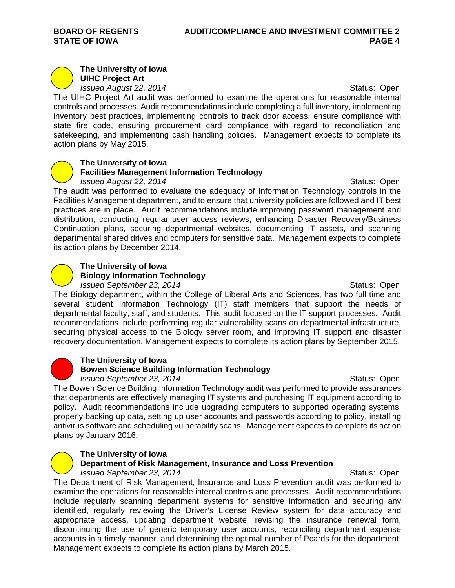#### **The University of Iowa UIHC Project Art**

*Issued August 22, 2014 Issued August 22, 2014 Status: Open* 

The UIHC Project Art audit was performed to examine the operations for reasonable internal controls and processes. Audit recommendations include completing a full inventory, implementing inventory best practices, implementing controls to track door access, ensure compliance with state fire code, ensuring procurement card compliance with regard to reconciliation and safekeeping, and implementing cash handling policies. Management expects to complete its action plans by May 2015.

## **The University of Iowa**

### **Facilities Management Information Technology**

*Issued August 22, 2014 Issued August 22, 2014 ISSUED ISSUED Status: Open* The audit was performed to evaluate the adequacy of Information Technology controls in the Facilities Management department, and to ensure that university policies are followed and IT best practices are in place. Audit recommendations include improving password management and distribution, conducting regular user access reviews, enhancing Disaster Recovery/Business Continuation plans, securing departmental websites, documenting IT assets, and scanning departmental shared drives and computers for sensitive data. Management expects to complete its action plans by December 2014.

# **The University of Iowa Biology Information Technology**

*Issued September 23, 2014 ISSUED <b>Status: Open* 

The Biology department, within the College of Liberal Arts and Sciences, has two full time and several student Information Technology (IT) staff members that support the needs of departmental faculty, staff, and students. This audit focused on the IT support processes. Audit recommendations include performing regular vulnerability scans on departmental infrastructure, securing physical access to the Biology server room, and improving IT support and disaster recovery documentation. Management expects to complete its action plans by September 2015.



# **The University of Iowa**

## **Bowen Science Building Information Technology**

*Issued September 23, 2014 ISSUED <b>Status: Open* 

The Bowen Science Building Information Technology audit was performed to provide assurances that departments are effectively managing IT systems and purchasing IT equipment according to policy. Audit recommendations include upgrading computers to supported operating systems, properly backing up data, setting up user accounts and passwords according to policy, installing antivirus software and scheduling vulnerability scans. Management expects to complete its action plans by January 2016.

## **The University of Iowa**

#### **Department of Risk Management, Insurance and Loss Prevention**  *Issued September 23, 2014 ISSUED <b>Status: Open*

The Department of Risk Management, Insurance and Loss Prevention audit was performed to examine the operations for reasonable internal controls and processes. Audit recommendations include regularly scanning department systems for sensitive information and securing any identified, regularly reviewing the Driver's License Review system for data accuracy and appropriate access, updating department website, revising the insurance renewal form, discontinuing the use of generic temporary user accounts, reconciling department expense accounts in a timely manner, and determining the optimal number of Pcards for the department. Management expects to complete its action plans by March 2015.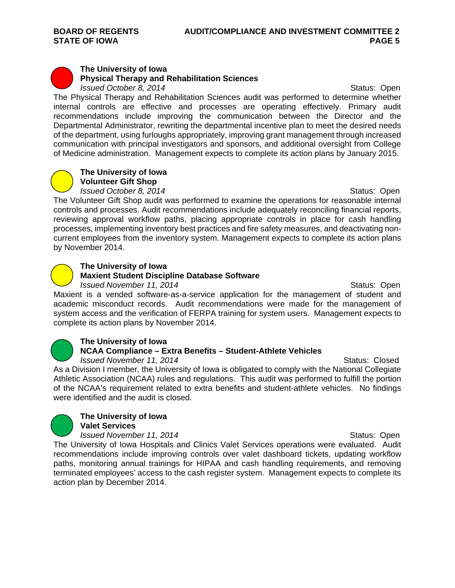#### **The University of Iowa Physical Therapy and Rehabilitation Sciences**  *Issued October 8, 2014 ISSUED <b>Status: Open*

The Physical Therapy and Rehabilitation Sciences audit was performed to determine whether internal controls are effective and processes are operating effectively. Primary audit recommendations include improving the communication between the Director and the Departmental Administrator, rewriting the departmental incentive plan to meet the desired needs of the department, using furloughs appropriately, improving grant management through increased communication with principal investigators and sponsors, and additional oversight from College of Medicine administration. Management expects to complete its action plans by January 2015.



## **The University of Iowa Volunteer Gift Shop**

*Issued October 8, 2014 ISSUED <b>Status: Open* 

The Volunteer Gift Shop audit was performed to examine the operations for reasonable internal controls and processes. Audit recommendations include adequately reconciling financial reports, reviewing approval workflow paths, placing appropriate controls in place for cash handling processes, implementing inventory best practices and fire safety measures, and deactivating noncurrent employees from the inventory system. Management expects to complete its action plans by November 2014.



# **The University of Iowa**

# **Maxient Student Discipline Database Software**

*Issued November 11, 2014 ISSUED ISSUED* **Status: Open** 

Maxient is a vended software-as-a-service application for the management of student and academic misconduct records. Audit recommendations were made for the management of system access and the verification of FERPA training for system users. Management expects to complete its action plans by November 2014.



### **The University of Iowa NCAA Compliance – Extra Benefits – Student-Athlete Vehicles**  *Issued November 11, 2014 Issued November 11, 2014 Issued Reserves*

As a Division I member, the University of Iowa is obligated to comply with the National Collegiate Athletic Association (NCAA) rules and regulations. This audit was performed to fulfill the portion of the NCAA's requirement related to extra benefits and student-athlete vehicles. No findings were identified and the audit is closed.



# **The University of Iowa Valet Services**

action plan by December 2014.

*Issued November 11, 2014 ISSUED <b>Status: Open* The University of Iowa Hospitals and Clinics Valet Services operations were evaluated. Audit recommendations include improving controls over valet dashboard tickets, updating workflow paths, monitoring annual trainings for HIPAA and cash handling requirements, and removing terminated employees' access to the cash register system. Management expects to complete its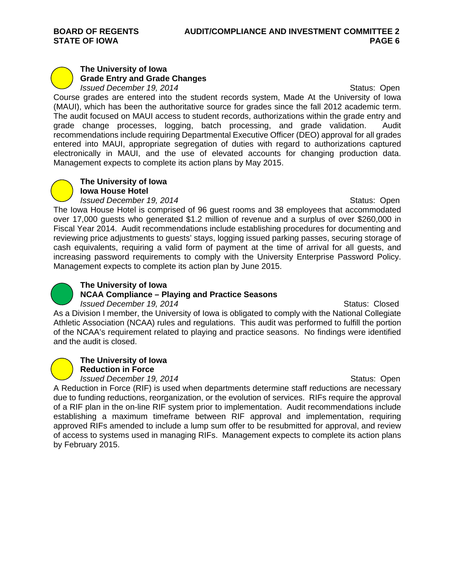#### **The University of Iowa Grade Entry and Grade Changes**  *Issued December 19, 2014 ISSUED <b>Status: Open*

Course grades are entered into the student records system, Made At the University of Iowa (MAUI), which has been the authoritative source for grades since the fall 2012 academic term. The audit focused on MAUI access to student records, authorizations within the grade entry and grade change processes, logging, batch processing, and grade validation. Audit recommendations include requiring Departmental Executive Officer (DEO) approval for all grades entered into MAUI, appropriate segregation of duties with regard to authorizations captured electronically in MAUI, and the use of elevated accounts for changing production data. Management expects to complete its action plans by May 2015.



### **The University of Iowa Iowa House Hotel**

*Issued December 19, 2014 ISSUED 2014* **Status: Open** 

The Iowa House Hotel is comprised of 96 guest rooms and 38 employees that accommodated over 17,000 guests who generated \$1.2 million of revenue and a surplus of over \$260,000 in Fiscal Year 2014. Audit recommendations include establishing procedures for documenting and reviewing price adjustments to guests' stays, logging issued parking passes, securing storage of cash equivalents, requiring a valid form of payment at the time of arrival for all guests, and increasing password requirements to comply with the University Enterprise Password Policy. Management expects to complete its action plan by June 2015.



# **The University of Iowa**

# **NCAA Compliance – Playing and Practice Seasons**

*Issued December 19, 2014 ISSUED <b>Status: Closed* Status: Closed

As a Division I member, the University of Iowa is obligated to comply with the National Collegiate Athletic Association (NCAA) rules and regulations. This audit was performed to fulfill the portion of the NCAA's requirement related to playing and practice seasons. No findings were identified and the audit is closed.



# **The University of Iowa**

**Reduction in Force** 

*Issued December 19, 2014 ISSUED <b>Status: Open* A Reduction in Force (RIF) is used when departments determine staff reductions are necessary due to funding reductions, reorganization, or the evolution of services. RIFs require the approval of a RIF plan in the on-line RIF system prior to implementation. Audit recommendations include establishing a maximum timeframe between RIF approval and implementation, requiring approved RIFs amended to include a lump sum offer to be resubmitted for approval, and review of access to systems used in managing RIFs. Management expects to complete its action plans by February 2015.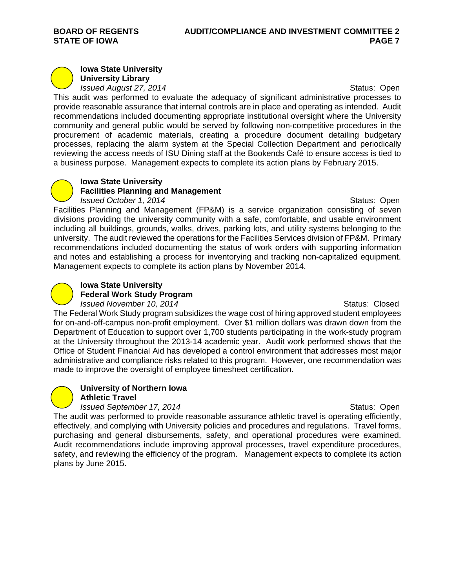#### **Iowa State University University Library**

*Issued August 27, 2014 Issued August 27, 2014 Status: Open* 

This audit was performed to evaluate the adequacy of significant administrative processes to provide reasonable assurance that internal controls are in place and operating as intended. Audit recommendations included documenting appropriate institutional oversight where the University community and general public would be served by following non-competitive procedures in the procurement of academic materials, creating a procedure document detailing budgetary processes, replacing the alarm system at the Special Collection Department and periodically reviewing the access needs of ISU Dining staff at the Bookends Café to ensure access is tied to a business purpose. Management expects to complete its action plans by February 2015.



# **Iowa State University Facilities Planning and Management**

*Issued October 1, 2014 ISSUED <b>Status: Open* Facilities Planning and Management (FP&M) is a service organization consisting of seven divisions providing the university community with a safe, comfortable, and usable environment including all buildings, grounds, walks, drives, parking lots, and utility systems belonging to the university. The audit reviewed the operations for the Facilities Services division of FP&M. Primary recommendations included documenting the status of work orders with supporting information and notes and establishing a process for inventorying and tracking non-capitalized equipment. Management expects to complete its action plans by November 2014.



# **Iowa State University**

**Federal Work Study Program** 

*Issued November 10, 2014 ISSUED <b>Status: Closed* Status: Closed

The Federal Work Study program subsidizes the wage cost of hiring approved student employees for on-and-off-campus non-profit employment. Over \$1 million dollars was drawn down from the Department of Education to support over 1,700 students participating in the work-study program at the University throughout the 2013-14 academic year. Audit work performed shows that the Office of Student Financial Aid has developed a control environment that addresses most major administrative and compliance risks related to this program. However, one recommendation was made to improve the oversight of employee timesheet certification.



#### **University of Northern Iowa Athletic Travel**

*Issued September 17, 2014* **Status: Open Status: Open** The audit was performed to provide reasonable assurance athletic travel is operating efficiently, effectively, and complying with University policies and procedures and regulations. Travel forms, purchasing and general disbursements, safety, and operational procedures were examined. Audit recommendations include improving approval processes, travel expenditure procedures, safety, and reviewing the efficiency of the program. Management expects to complete its action plans by June 2015.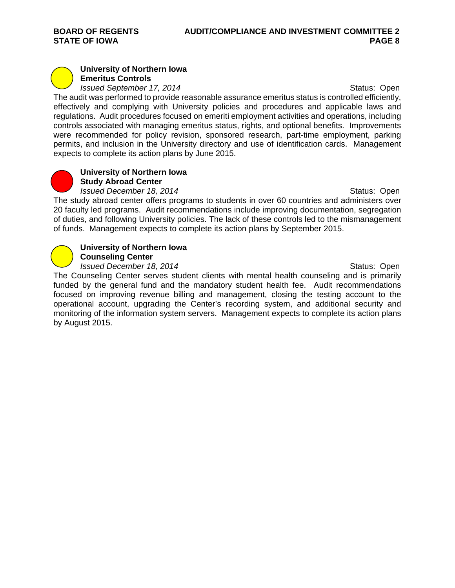# **University of Northern Iowa Emeritus Controls**

*Issued September 17, 2014* **Status: Open** Status: Open

The audit was performed to provide reasonable assurance emeritus status is controlled efficiently, effectively and complying with University policies and procedures and applicable laws and regulations. Audit procedures focused on emeriti employment activities and operations, including controls associated with managing emeritus status, rights, and optional benefits. Improvements were recommended for policy revision, sponsored research, part-time employment, parking permits, and inclusion in the University directory and use of identification cards. Management expects to complete its action plans by June 2015.



#### **University of Northern Iowa Study Abroad Center**

*Issued December 18, 2014 ISSUED 2014 ISSUED 2014* **Status: Open** The study abroad center offers programs to students in over 60 countries and administers over 20 faculty led programs. Audit recommendations include improving documentation, segregation of duties, and following University policies. The lack of these controls led to the mismanagement of funds. Management expects to complete its action plans by September 2015.



# **University of Northern Iowa**

**Counseling Center** 

*Issued December 18, 2014* **Status: Open Status: Open** The Counseling Center serves student clients with mental health counseling and is primarily funded by the general fund and the mandatory student health fee. Audit recommendations focused on improving revenue billing and management, closing the testing account to the operational account, upgrading the Center's recording system, and additional security and monitoring of the information system servers. Management expects to complete its action plans by August 2015.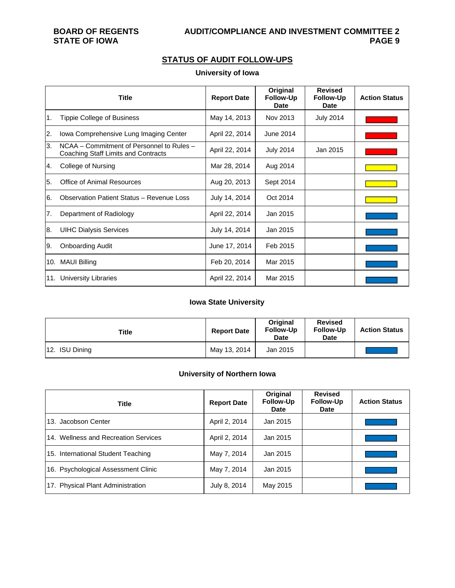**STATE OF IOWA** 

# **STATUS OF AUDIT FOLLOW-UPS**

#### **University of Iowa**

|                  | <b>Title</b>                                                                     | <b>Report Date</b> | Original<br><b>Follow-Up</b><br><b>Date</b> | <b>Revised</b><br><b>Follow-Up</b><br>Date | <b>Action Status</b> |
|------------------|----------------------------------------------------------------------------------|--------------------|---------------------------------------------|--------------------------------------------|----------------------|
| $\overline{1}$ . | <b>Tippie College of Business</b>                                                | May 14, 2013       | Nov 2013                                    | <b>July 2014</b>                           |                      |
| 2.               | Iowa Comprehensive Lung Imaging Center                                           | April 22, 2014     | June 2014                                   |                                            |                      |
| Β.               | NCAA – Commitment of Personnel to Rules –<br>Coaching Staff Limits and Contracts | April 22, 2014     | <b>July 2014</b>                            | Jan 2015                                   |                      |
| 4.               | College of Nursing                                                               | Mar 28, 2014       | Aug 2014                                    |                                            |                      |
| 5.               | <b>Office of Animal Resources</b>                                                | Aug 20, 2013       | Sept 2014                                   |                                            |                      |
| 6.               | Observation Patient Status - Revenue Loss                                        | July 14, 2014      | Oct 2014                                    |                                            |                      |
| 7.               | Department of Radiology                                                          | April 22, 2014     | Jan 2015                                    |                                            |                      |
| 8.               | <b>UIHC Dialysis Services</b>                                                    | July 14, 2014      | Jan 2015                                    |                                            |                      |
| I9.              | <b>Onboarding Audit</b>                                                          | June 17, 2014      | Feb 2015                                    |                                            |                      |
|                  | 10. MAUI Billing                                                                 | Feb 20, 2014       | Mar 2015                                    |                                            |                      |
| 11.              | <b>University Libraries</b>                                                      | April 22, 2014     | Mar 2015                                    |                                            |                      |

### **Iowa State University**

| Title          | <b>Report Date</b> | Original<br><b>Follow-Up</b><br><b>Date</b> | <b>Revised</b><br><b>Follow-Up</b><br><b>Date</b> | <b>Action Status</b> |
|----------------|--------------------|---------------------------------------------|---------------------------------------------------|----------------------|
| 12. ISU Dining | May 13, 2014       | Jan 2015                                    |                                                   |                      |

### **University of Northern Iowa**

| <b>Title</b>                         | <b>Report Date</b> | Original<br>Follow-Up<br><b>Date</b> | <b>Revised</b><br><b>Follow-Up</b><br><b>Date</b> | <b>Action Status</b> |
|--------------------------------------|--------------------|--------------------------------------|---------------------------------------------------|----------------------|
| 13. Jacobson Center                  | April 2, 2014      | Jan 2015                             |                                                   |                      |
| 14. Wellness and Recreation Services | April 2, 2014      | Jan 2015                             |                                                   |                      |
| 15. International Student Teaching   | May 7, 2014        | Jan 2015                             |                                                   |                      |
| 16. Psychological Assessment Clinic  | May 7, 2014        | Jan 2015                             |                                                   |                      |
| 17. Physical Plant Administration    | July 8, 2014       | May 2015                             |                                                   |                      |